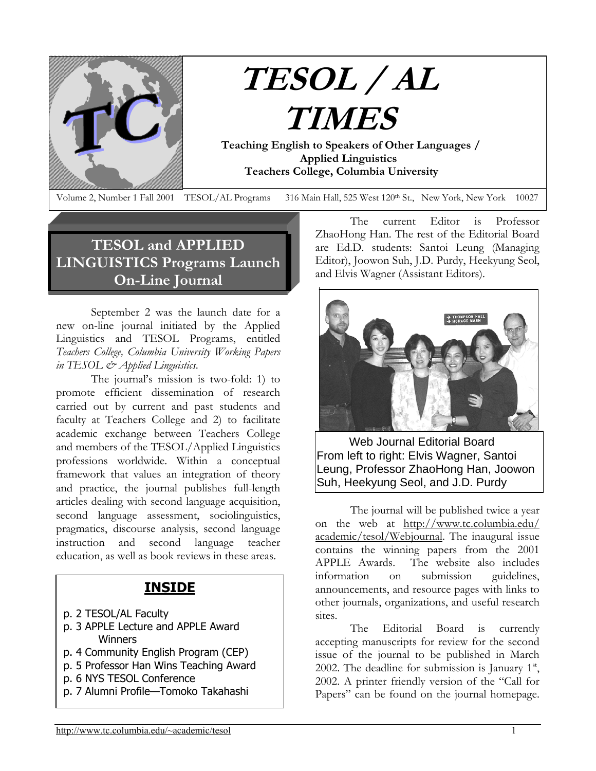

# **TESOL / AL TIMES**

 **Teaching English to Speakers of Other Languages / Applied Linguistics Teachers College, Columbia University**

Volume 2, Number 1 Fall 2001 TESOL/AL Programs 316 Main Hall, 525 West 120<sup>th</sup> St., New York, New York 10027

# **TESOL and APPLIED LINGUISTICS Programs Launch On-Line Journal**

September 2 was the launch date for a new on-line journal initiated by the Applied Linguistics and TESOL Programs, entitled *Teachers College, Columbia University Working Papers in TESOL & Applied Linguistics*.

The journal's mission is two-fold: 1) to promote efficient dissemination of research carried out by current and past students and faculty at Teachers College and 2) to facilitate academic exchange between Teachers College and members of the TESOL/Applied Linguistics professions worldwide. Within a conceptual framework that values an integration of theory and practice, the journal publishes full-length articles dealing with second language acquisition, second language assessment, sociolinguistics, pragmatics, discourse analysis, second language instruction and second language teacher education, as well as book reviews in these areas.

#### **INSIDE**

- p. 2 TESOL/AL Faculty
- p. 3 APPLE Lecture and APPLE Award Winners
- p. 4 Community English Program (CEP)
- p. 5 Professor Han Wins Teaching Award
- p. 6 NYS TESOL Conference
- p. 7 Alumni Profile—Tomoko Takahashi

The current Editor is Professor ZhaoHong Han. The rest of the Editorial Board are Ed.D. students: Santoi Leung (Managing Editor), Joowon Suh, J.D. Purdy, Heekyung Seol, and Elvis Wagner (Assistant Editors).



 Web Journal Editorial Board From left to right: Elvis Wagner, Santoi Leung, Professor ZhaoHong Han, Joowon Suh, Heekyung Seol, and J.D. Purdy

The journal will be published twice a year on the web at [http://www.tc.columbia.edu/](http://www.tc.columbia.edu/academic/tesol/Webjournal) [academic/tesol/Webjournal.](http://www.tc.columbia.edu/academic/tesol/Webjournal) The inaugural issue contains the winning papers from the 2001 APPLE Awards. The website also includes information on submission guidelines, announcements, and resource pages with links to other journals, organizations, and useful research sites.

The Editorial Board is currently accepting manuscripts for review for the second issue of the journal to be published in March 2002. The deadline for submission is January  $1<sup>st</sup>$ , 2002. A printer friendly version of the "Call for Papers" can be found on the journal homepage.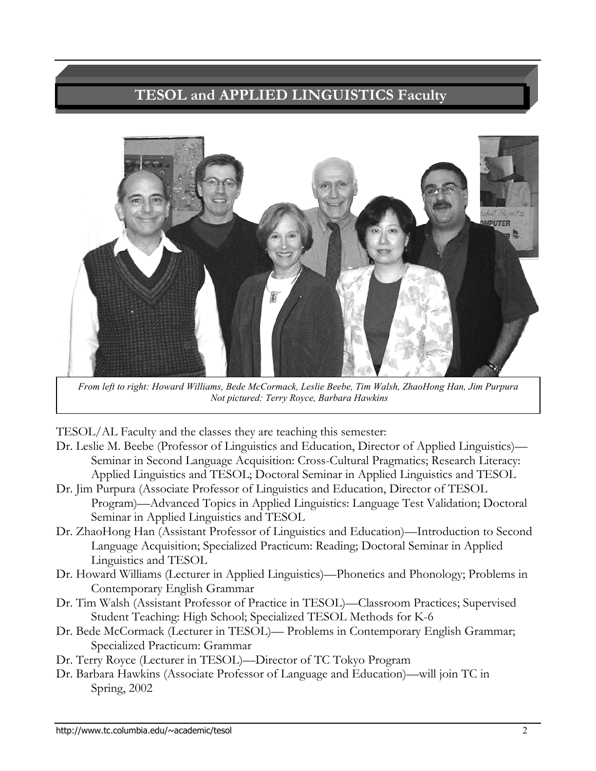# **TESOL and APPLIED LINGUISTICS Faculty**



*From left to right: Howard Williams, Bede McCormack, Leslie Beebe, Tim Walsh, ZhaoHong Han, Jim Purpura Not pictured: Terry Royce, Barbara Hawkins* 

TESOL/AL Faculty and the classes they are teaching this semester:

- Dr. Leslie M. Beebe (Professor of Linguistics and Education, Director of Applied Linguistics)— Seminar in Second Language Acquisition: Cross-Cultural Pragmatics; Research Literacy: Applied Linguistics and TESOL; Doctoral Seminar in Applied Linguistics and TESOL
- Dr. Jim Purpura (Associate Professor of Linguistics and Education, Director of TESOL Program)—Advanced Topics in Applied Linguistics: Language Test Validation; Doctoral Seminar in Applied Linguistics and TESOL
- Dr. ZhaoHong Han (Assistant Professor of Linguistics and Education)—Introduction to Second Language Acquisition; Specialized Practicum: Reading; Doctoral Seminar in Applied Linguistics and TESOL
- Dr. Howard Williams (Lecturer in Applied Linguistics)—Phonetics and Phonology; Problems in Contemporary English Grammar
- Dr. Tim Walsh (Assistant Professor of Practice in TESOL)—Classroom Practices; Supervised Student Teaching: High School; Specialized TESOL Methods for K-6
- Dr. Bede McCormack (Lecturer in TESOL)— Problems in Contemporary English Grammar; Specialized Practicum: Grammar
- Dr. Terry Royce (Lecturer in TESOL)—Director of TC Tokyo Program
- Dr. Barbara Hawkins (Associate Professor of Language and Education)—will join TC in Spring, 2002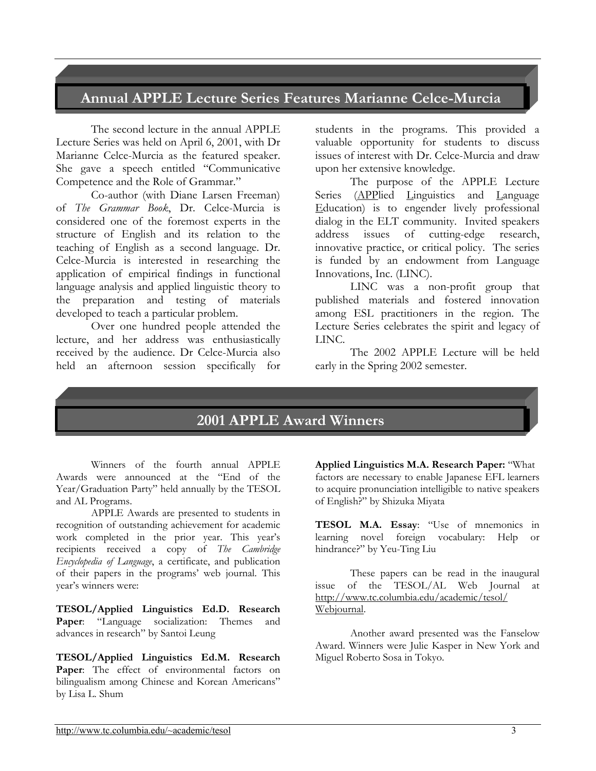## **Annual APPLE Lecture Series Features Marianne Celce-Murcia**

The second lecture in the annual APPLE Lecture Series was held on April 6, 2001, with Dr Marianne Celce-Murcia as the featured speaker. She gave a speech entitled "Communicative Competence and the Role of Grammar."

Co-author (with Diane Larsen Freeman) of *The Grammar Book*, Dr. Celce-Murcia is considered one of the foremost experts in the structure of English and its relation to the teaching of English as a second language. Dr. Celce-Murcia is interested in researching the application of empirical findings in functional language analysis and applied linguistic theory to the preparation and testing of materials developed to teach a particular problem.

Over one hundred people attended the lecture, and her address was enthusiastically received by the audience. Dr Celce-Murcia also held an afternoon session specifically for

students in the programs. This provided a valuable opportunity for students to discuss issues of interest with Dr. Celce-Murcia and draw upon her extensive knowledge.

The purpose of the APPLE Lecture Series (APPlied Linguistics and Language Education) is to engender lively professional dialog in the ELT community. Invited speakers address issues of cutting-edge research, innovative practice, or critical policy. The series is funded by an endowment from Language Innovations, Inc. (LINC).

LINC was a non-profit group that published materials and fostered innovation among ESL practitioners in the region. The Lecture Series celebrates the spirit and legacy of LINC.

The 2002 APPLE Lecture will be held early in the Spring 2002 semester.

#### **2001 APPLE Award Winners**

Winners of the fourth annual APPLE Awards were announced at the "End of the Year/Graduation Party" held annually by the TESOL and AL Programs.

APPLE Awards are presented to students in recognition of outstanding achievement for academic work completed in the prior year. This year's recipients received a copy of *The Cambridge Encyclopedia of Language*, a certificate, and publication of their papers in the programs' web journal. This year's winners were:

**TESOL/Applied Linguistics Ed.D. Research Paper**: "Language socialization: Themes and advances in research" by Santoi Leung

**TESOL/Applied Linguistics Ed.M. Research**  Paper: The effect of environmental factors on bilingualism among Chinese and Korean Americans" by Lisa L. Shum

**Applied Linguistics M.A. Research Paper:** "What factors are necessary to enable Japanese EFL learners to acquire pronunciation intelligible to native speakers of English?" by Shizuka Miyata

**TESOL M.A. Essay**: "Use of mnemonics in learning novel foreign vocabulary: Help or hindrance?" by Yeu-Ting Liu

These papers can be read in the inaugural issue of the TESOL/AL Web Journal at [http://www.tc.columbia.edu/academic/tesol/](http://www.tc.columbia.edu/academic/tesol/Webjournal)  [Webjournal.](http://www.tc.columbia.edu/academic/tesol/Webjournal)

Another award presented was the Fanselow Award. Winners were Julie Kasper in New York and Miguel Roberto Sosa in Tokyo.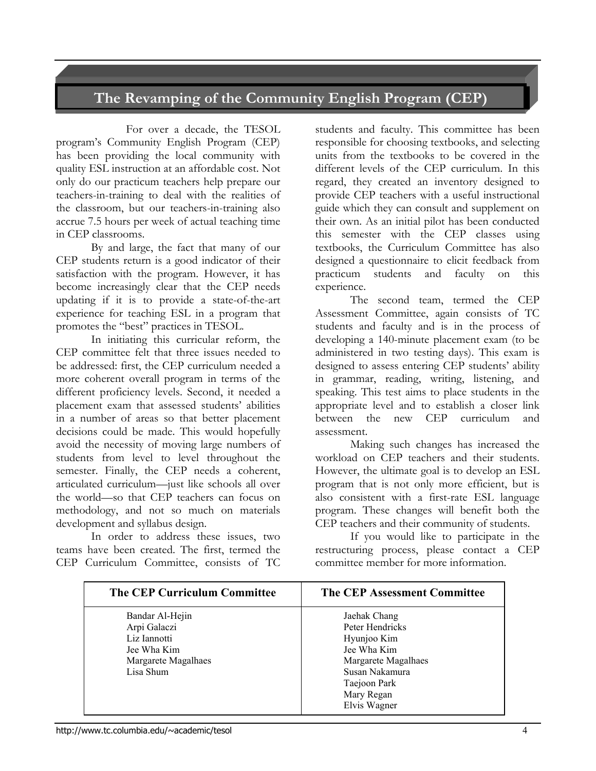## **The Revamping of the Community English Program (CEP)**

For over a decade, the TESOL program's Community English Program (CEP) has been providing the local community with quality ESL instruction at an affordable cost. Not only do our practicum teachers help prepare our teachers-in-training to deal with the realities of the classroom, but our teachers-in-training also accrue 7.5 hours per week of actual teaching time in CEP classrooms.

By and large, the fact that many of our CEP students return is a good indicator of their satisfaction with the program. However, it has become increasingly clear that the CEP needs updating if it is to provide a state-of-the-art experience for teaching ESL in a program that promotes the "best" practices in TESOL.

In initiating this curricular reform, the CEP committee felt that three issues needed to be addressed: first, the CEP curriculum needed a more coherent overall program in terms of the different proficiency levels. Second, it needed a placement exam that assessed students' abilities in a number of areas so that better placement decisions could be made. This would hopefully avoid the necessity of moving large numbers of students from level to level throughout the semester. Finally, the CEP needs a coherent, articulated curriculum—just like schools all over the world—so that CEP teachers can focus on methodology, and not so much on materials development and syllabus design.

In order to address these issues, two teams have been created. The first, termed the CEP Curriculum Committee, consists of TC

students and faculty. This committee has been responsible for choosing textbooks, and selecting units from the textbooks to be covered in the different levels of the CEP curriculum. In this regard, they created an inventory designed to provide CEP teachers with a useful instructional guide which they can consult and supplement on their own. As an initial pilot has been conducted this semester with the CEP classes using textbooks, the Curriculum Committee has also designed a questionnaire to elicit feedback from practicum students and faculty on this experience.

The second team, termed the CEP Assessment Committee, again consists of TC students and faculty and is in the process of developing a 140-minute placement exam (to be administered in two testing days). This exam is designed to assess entering CEP students' ability in grammar, reading, writing, listening, and speaking. This test aims to place students in the appropriate level and to establish a closer link between the new CEP curriculum and assessment.

Making such changes has increased the workload on CEP teachers and their students. However, the ultimate goal is to develop an ESL program that is not only more efficient, but is also consistent with a first-rate ESL language program. These changes will benefit both the CEP teachers and their community of students.

If you would like to participate in the restructuring process, please contact a CEP committee member for more information.

| <b>The CEP Curriculum Committee</b> | <b>The CEP Assessment Committee</b> |
|-------------------------------------|-------------------------------------|
| Bandar Al-Hejin                     | Jaehak Chang                        |
| Arpi Galaczi                        | Peter Hendricks                     |
| Liz Iannotti                        | Hyunjoo Kim                         |
| Jee Wha Kim                         | Jee Wha Kim                         |
| Margarete Magalhaes                 | Margarete Magalhaes                 |
| Lisa Shum                           | Susan Nakamura                      |
|                                     | Taejoon Park                        |
|                                     | Mary Regan                          |
|                                     | Elvis Wagner                        |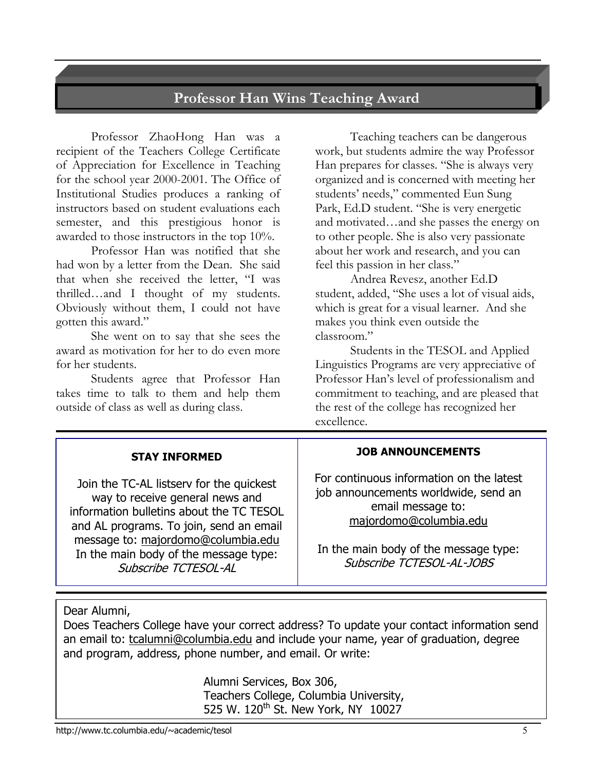## **Professor Han Wins Teaching Award**

Professor ZhaoHong Han was a recipient of the Teachers College Certificate of Appreciation for Excellence in Teaching for the school year 2000-2001. The Office of Institutional Studies produces a ranking of instructors based on student evaluations each semester, and this prestigious honor is awarded to those instructors in the top 10%.

Professor Han was notified that she had won by a letter from the Dean. She said that when she received the letter, "I was thrilled…and I thought of my students. Obviously without them, I could not have gotten this award."

She went on to say that she sees the award as motivation for her to do even more for her students.

Students agree that Professor Han takes time to talk to them and help them outside of class as well as during class.

Teaching teachers can be dangerous work, but students admire the way Professor Han prepares for classes. "She is always very organized and is concerned with meeting her students' needs," commented Eun Sung Park, Ed.D student. "She is very energetic and motivated…and she passes the energy on to other people. She is also very passionate about her work and research, and you can feel this passion in her class."

Andrea Revesz, another Ed.D student, added, "She uses a lot of visual aids, which is great for a visual learner. And she makes you think even outside the classroom."

Students in the TESOL and Applied Linguistics Programs are very appreciative of Professor Han's level of professionalism and commitment to teaching, and are pleased that the rest of the college has recognized her excellence.

#### **STAY INFORMED**

Join the TC-AL listserv for the quickest way to receive general news and information bulletins about the TC TESOL and AL programs. To join, send an email message to: majordomo@columbia.edu In the main body of the message type: Subscribe TCTESOL-AL

#### **JOB ANNOUNCEMENTS**

For continuous information on the latest job announcements worldwide, send an email message to: majordomo@columbia.edu

In the main body of the message type: Subscribe TCTESOL-AL-JOBS

Dear Alumni,

Does Teachers College have your correct address? To update your contact information send an email to: [tcalumni@columbia.edu](mailto:tcalumni@columbia.edu) and include your name, year of graduation, degree and program, address, phone number, and email. Or write:

> Alumni Services, Box 306, Teachers College, Columbia University, 525 W. 120<sup>th</sup> St. New York, NY 10027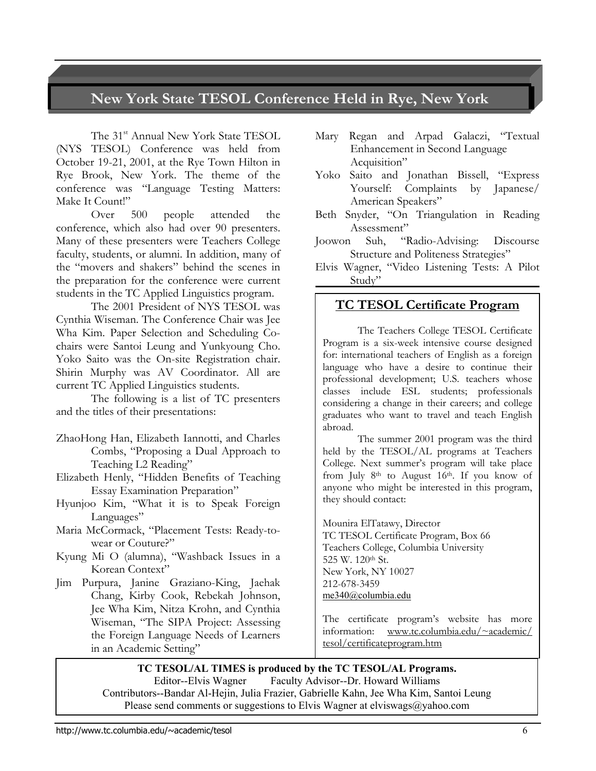## **New York State TESOL Conference Held in Rye, New York**

The 31<sup>st</sup> Annual New York State TESOL (NYS TESOL) Conference was held from October 19-21, 2001, at the Rye Town Hilton in Rye Brook, New York. The theme of the conference was "Language Testing Matters: Make It Count!"

Over 500 people attended the conference, which also had over 90 presenters. Many of these presenters were Teachers College faculty, students, or alumni. In addition, many of the "movers and shakers" behind the scenes in the preparation for the conference were current students in the TC Applied Linguistics program.

The 2001 President of NYS TESOL was Cynthia Wiseman. The Conference Chair was Jee Wha Kim. Paper Selection and Scheduling Cochairs were Santoi Leung and Yunkyoung Cho. Yoko Saito was the On-site Registration chair. Shirin Murphy was AV Coordinator. All are current TC Applied Linguistics students.

The following is a list of TC presenters and the titles of their presentations:

- ZhaoHong Han, Elizabeth Iannotti, and Charles Combs, "Proposing a Dual Approach to Teaching L2 Reading"
- Elizabeth Henly, "Hidden Benefits of Teaching Essay Examination Preparation"
- Hyunjoo Kim, "What it is to Speak Foreign Languages"
- Maria McCormack, "Placement Tests: Ready-towear or Couture?"
- Kyung Mi O (alumna), "Washback Issues in a Korean Context"
- Jim Purpura, Janine Graziano-King, Jaehak Chang, Kirby Cook, Rebekah Johnson, Jee Wha Kim, Nitza Krohn, and Cynthia Wiseman, "The SIPA Project: Assessing the Foreign Language Needs of Learners in an Academic Setting"
- Mary Regan and Arpad Galaczi, "Textual Enhancement in Second Language Acquisition"
- Yoko Saito and Jonathan Bissell, "Express Yourself: Complaints by Japanese/ American Speakers"
- Beth Snyder, "On Triangulation in Reading Assessment"
- Joowon Suh, "Radio-Advising: Discourse Structure and Politeness Strategies"
- Elvis Wagner, "Video Listening Tests: A Pilot Study"

#### **TC TESOL Certificate Program**

The Teachers College TESOL Certificate Program is a six-week intensive course designed for: international teachers of English as a foreign language who have a desire to continue their professional development; U.S. teachers whose classes include ESL students; professionals considering a change in their careers; and college graduates who want to travel and teach English abroad.

The summer 2001 program was the third held by the TESOL/AL programs at Teachers College. Next summer's program will take place from July 8<sup>th</sup> to August 16<sup>th</sup>. If you know of anyone who might be interested in this program, they should contact:

Mounira ElTatawy, Director TC TESOL Certificate Program, Box 66 Teachers College, Columbia University 525 W. 120th St. New York, NY 10027 212-678-3459 [me340@columbia.edu](mailto:me340@columbia.edu)

The certificate program's website has more information: [www.tc.columbia.edu/](http://www.tc.columbia.edu/)~academic/ tesol/certificateprogram.htm

#### **TC TESOL/AL TIMES is produced by the TC TESOL/AL Programs.**

Editor--Elvis Wagner Faculty Advisor--Dr. Howard Williams Contributors--Bandar Al-Hejin, Julia Frazier, Gabrielle Kahn, Jee Wha Kim, Santoi Leung Please send comments or suggestions to Elvis Wagner at elviswags@yahoo.com